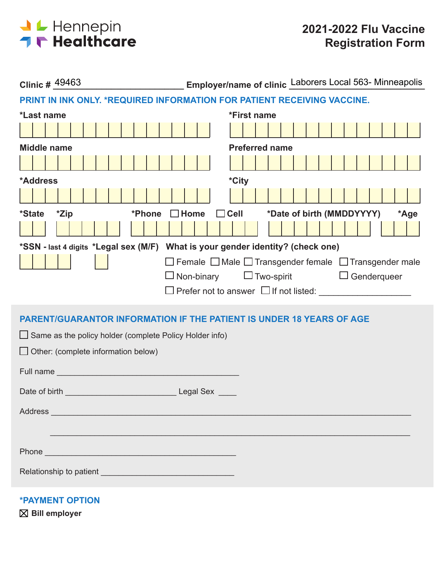

| Clinic # 49463                                                                                                                                                                                                                                               | Employer/name of clinic Laborers Local 563- Minneapolis |
|--------------------------------------------------------------------------------------------------------------------------------------------------------------------------------------------------------------------------------------------------------------|---------------------------------------------------------|
| PRINT IN INK ONLY. *REQUIRED INFORMATION FOR PATIENT RECEIVING VACCINE.                                                                                                                                                                                      |                                                         |
| *Last name                                                                                                                                                                                                                                                   | *First name                                             |
|                                                                                                                                                                                                                                                              |                                                         |
| <b>Middle name</b>                                                                                                                                                                                                                                           | <b>Preferred name</b>                                   |
|                                                                                                                                                                                                                                                              |                                                         |
| *Address                                                                                                                                                                                                                                                     | *City                                                   |
|                                                                                                                                                                                                                                                              |                                                         |
| *Zip<br><i><b>*State</b></i><br>*Phone<br>$\Box$ Home                                                                                                                                                                                                        | *Date of birth (MMDDYYYY)<br>$\Box$ Cell<br>*Age        |
|                                                                                                                                                                                                                                                              |                                                         |
| *SSN - last 4 digits *Legal sex (M/F) What is your gender identity? (check one)                                                                                                                                                                              |                                                         |
|                                                                                                                                                                                                                                                              | □ Female □ Male □ Transgender female □ Transgender male |
| $\Box$ Non-binary                                                                                                                                                                                                                                            | $\Box$ Two-spirit<br>$\Box$ Genderqueer                 |
|                                                                                                                                                                                                                                                              |                                                         |
| <b>PARENT/GUARANTOR INFORMATION IF THE PATIENT IS UNDER 18 YEARS OF AGE</b>                                                                                                                                                                                  |                                                         |
| $\Box$ Same as the policy holder (complete Policy Holder info)                                                                                                                                                                                               |                                                         |
| $\Box$ Other: (complete information below)                                                                                                                                                                                                                   |                                                         |
|                                                                                                                                                                                                                                                              |                                                         |
| <b>Full name</b> and the state of the state of the state of the state of the state of the state of the state of the state of the state of the state of the state of the state of the state of the state of the state of the state o                          |                                                         |
| <b>Example 2 Legal Sex</b><br>Date of birth the control of the control of the control of the control of the control of the control of the control of the control of the control of the control of the control of the control of the control of the control o |                                                         |
| Address and the contract of the contract of the contract of the contract of the contract of the contract of the contract of the contract of the contract of the contract of the contract of the contract of the contract of th                               |                                                         |
|                                                                                                                                                                                                                                                              |                                                         |
|                                                                                                                                                                                                                                                              |                                                         |
| Phone <b>Property Phone Property Property Property Property Property Property Property Property Property Property Property Property Property Property Property Property Property Property</b>                                                                |                                                         |
|                                                                                                                                                                                                                                                              |                                                         |
|                                                                                                                                                                                                                                                              |                                                         |

**\*PAYMENT OPTION**

**Bill employer**